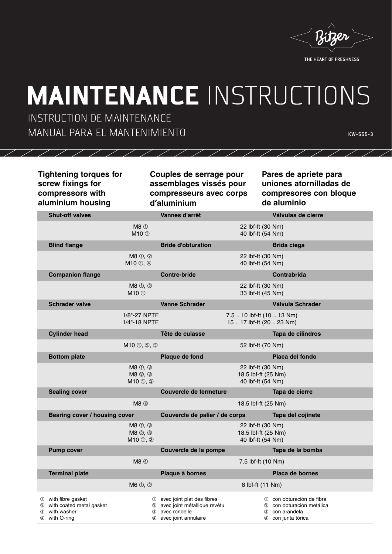

THE HEART OF FRESHNESS

## **MAINTENANCE INSTRUCTIONS**

INSTRUCTION DE MAINTENANCE MANUAL PARA EL MANTENIMIENTO

**KW-555-3**

## **Tightening torques for screw fixings for compressors with aluminium housing**

**Couples de serrage pour assemblages vissés pour compresseurs avec corps d'aluminium**

**Pares de apriete para uniones atornilladas de compresores con bloque de aluminio**

|        | <b>Shut-off valves</b>                                                         |                                                                                        | Vannes d'arrêt                                                                                            |                                                               | Válvulas de cierre                                                                             |
|--------|--------------------------------------------------------------------------------|----------------------------------------------------------------------------------------|-----------------------------------------------------------------------------------------------------------|---------------------------------------------------------------|------------------------------------------------------------------------------------------------|
|        |                                                                                | M8 <sup>0</sup><br>$M10$ ①                                                             |                                                                                                           | 22 lbf-ft (30 Nm)<br>40 lbf-ft (54 Nm)                        |                                                                                                |
|        | <b>Blind flange</b>                                                            |                                                                                        | <b>Bride d'obturation</b>                                                                                 |                                                               | <b>Brida ciega</b>                                                                             |
|        |                                                                                | $M8$ ①, ②<br>M10 ①, 4                                                                  |                                                                                                           | 22 lbf-ft (30 Nm)<br>40 lbf-ft (54 Nm)                        |                                                                                                |
|        | <b>Companion flange</b>                                                        |                                                                                        | <b>Contre-bride</b>                                                                                       |                                                               | <b>Contrabrida</b>                                                                             |
|        |                                                                                | $M8$ ①, ②<br>M10 ①                                                                     |                                                                                                           | 22 lbf-ft (30 Nm)<br>33 lbf-ft (45 Nm)                        |                                                                                                |
|        | <b>Schrader valve</b>                                                          |                                                                                        | <b>Vanne Schrader</b>                                                                                     |                                                               | Válvula Schrader                                                                               |
|        |                                                                                | 1/8"-27 NPTF<br>1/4"-18 NPTF                                                           |                                                                                                           | 7.5  10 lbf-ft (10  13 Nm)<br>15  17 lbf-ft (20  23 Nm)       |                                                                                                |
|        | <b>Cylinder head</b>                                                           |                                                                                        | Tête de culasse                                                                                           |                                                               | Tapa de cilindros                                                                              |
|        |                                                                                | $M10 \oplus Q$ , $\otimes$ , $\otimes$                                                 |                                                                                                           | 52 lbf-ft (70 Nm)                                             |                                                                                                |
|        | <b>Bottom plate</b>                                                            |                                                                                        | Plaque de fond                                                                                            |                                                               | Placa del fondo                                                                                |
|        |                                                                                | $M8$ ①, ③<br>$M8$ $\circledcirc$ , $\circledcirc$<br>$M10 \text{ } \oplus$ , $\otimes$ |                                                                                                           | 22 lbf-ft (30 Nm)<br>18.5 lbf-ft (25 Nm)<br>40 lbf-ft (54 Nm) |                                                                                                |
|        | <b>Sealing cover</b>                                                           |                                                                                        | Couvercle de fermeture                                                                                    |                                                               | Tapa de cierre                                                                                 |
|        | $MB$ $\circled{3}$                                                             |                                                                                        | 18.5 lbf-ft (25 Nm)                                                                                       |                                                               |                                                                                                |
|        | Bearing cover / housing cover                                                  |                                                                                        | Couvercle de palier / de corps                                                                            |                                                               | Tapa del cojinete                                                                              |
|        |                                                                                | M8 ①, ③<br>M8 2, 3<br>$M10 \text{ } \oplus$ , $\otimes$                                |                                                                                                           | 22 lbf-ft (30 Nm)<br>18.5 lbf-ft (25 Nm)<br>40 lbf-ft (54 Nm) |                                                                                                |
|        | <b>Pump cover</b>                                                              |                                                                                        | Couvercle de la pompe                                                                                     |                                                               | Tapa de la bomba                                                                               |
|        |                                                                                | M8 4                                                                                   |                                                                                                           | 7.5 lbf-ft (10 Nm)                                            |                                                                                                |
|        | <b>Terminal plate</b>                                                          |                                                                                        | Plaque à bornes                                                                                           |                                                               | <b>Placa de bornes</b>                                                                         |
|        |                                                                                | $M6 \nLeftrightarrow$ $\oslash$                                                        |                                                                                                           | 8 lbf-ft (11 Nm)                                              |                                                                                                |
| 3<br>④ | 10 with fibre gasket<br>with coated metal gasket<br>with washer<br>with O-ring | ④                                                                                      | 1 avec joint plat des fibres<br>2 avec joint métallique revêtu<br>3 avec rondelle<br>avec joint annulaire |                                                               | 1 con obturación de fibra<br>2 con obturación metálica<br>3 con arandela<br>4 con junta tórica |